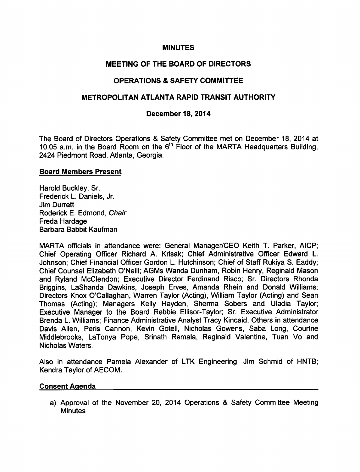#### MINUTES

## MEETING OF THE BOARD OF DIRECTORS

# OPERATIONS & SAFETY COMMITTEE

## METROPOLITAN ATLANTA RAPID TRANSIT AUTHORITY

#### December 18, 2014

The Board of Directors Operations & Safety Committee met on December 18, 2014 at 10:05 a.m. in the Board Room on the  $6<sup>th</sup>$  Floor of the MARTA Headquarters Building, 2424 Piedmont Road, Atlanta, Georgia.

#### Board Members Present

Harold Buckley, Sr. Frederick L. Daniels, Jr. Jim Durrett Roderick E. Edmond, Chair Freda Hardage Barbara Babbit Kaufman

MARTA officials in attendance were: General Manager/CEO Keith T. Parker, AICP; Chief Operating Officer Richard A. Krisak; Chief Administrative Officer Edward L. Johnson; Chief Financial Officer Gordon L. Hutchinson; Chief of Staff Rukiya S. Eaddy; Chief Counsel Elizabeth O'Neill; AGMs Wanda Dunham, Robin Henry, Reginald Mason and Ryland McClendon; Executive Director Ferdinand Risco; Sr. Directors Rhonda Briggins, LaShanda Dawkins, Joseph Erves, Amanda Rhein and Donald Williams; Directors Knox O'Callaghan, Warren Taylor (Acting), William Taylor (Acting) and Sean Thomas (Acting); Managers Kelly Hayden, Sherma Sobers and Uladia Taylor; Executive Manager to the Board Rebbie Ellisor-Taylor; Sr. Executive Administrator Brenda L. Williams; Finance Administrative Analyst Tracy Kincaid. Others in attendance Davis Allen, Peris Cannon, Kevin Gotell, Nicholas Gowens, Saba Long, Courtne Middlebrooks, LaTonya Pope, Srinath Remala, Reginald Valentine, Tuan Vo and Nicholas Waters.

Also in attendance Pamela Alexander of LTK Engineering; Jim Schmid of HNTB; Kendra Taylor of AECOM.

#### Consent Agenda

a) Approval of the November 20, 2014 Operations & Safety Committee Meeting **Minutes**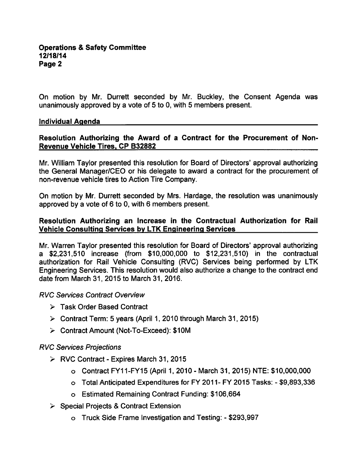On motion by Mr. Durrett seconded by Mr. Buckley, the Consent Agenda was unanimously approved by a vote of 5 to 0, with 5 members present.

#### Individual Agenda

# Resolution Authorizing the Award of a Contract for the Procurement of Non-Revenue Vehicle Tires. CP B32882

Mr. William Taylor presented this resolution for Board of Directors' approval authorizing the General Manager/CEO or his delegate to award a contract for the procurement of non-revenue vehicle tires to Action Tire Company.

On motion by Mr. Durrett seconded by Mrs. Hardage, the resolution was unanimously approved by a vote of  $6$  to 0, with 6 members present.

## Resolution Authorizing an Increase in the Contractual Authorization for Rail Vehicle Consulting Services by LTK Engineering Services

Mr. Warren Taylor presented this resolution for Board of Directors' approval authorizing \$2,231,510 increase (from \$10,000,000 to \$12,231,510) in the contractual authorization for Rail Vehicle Consulting (RVC) Services being performed by LTK Engineering Services. This resolution would also authorize a change to the contract end date from March 31, 2015 to March 31, 2016.

RVC Sen/ices Contract Overview

- Task Order Based Contract
- $\triangleright$  Contract Term: 5 years (April 1, 2010 through March 31, 2015)
- Contract Amount (Not-To-Exceed): \$10M

### RVC Services Projections

- $\triangleright$  RVC Contract Expires March 31, 2015
	- o Contract FY11-FY15 (April 1, 2010 March 31, 2015) NTE: \$10,000,000
	- o Total Anticipated Expenditures for FY 2011- FY 2015 Tasks: \$9,893,336
	- Estimated Remaining Contract Funding: \$106,664
- $\triangleright$  Special Projects & Contract Extension
	- o Truck Side Frame Investigation and Testing: \$293,997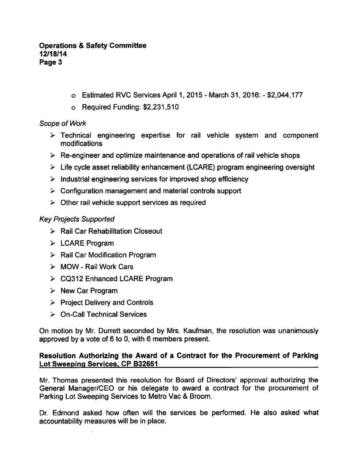- o Estimated RVC Services April 1, 2015 March 31, 2016: \$2,044,177
- Required Funding: \$2,231,510

### Scope of Work

- Technical engineering expertise for rail vehicle system and component modifications
- $\triangleright$  Re-engineer and optimize maintenance and operations of rail vehicle shops
- $\triangleright$  Life cycle asset reliability enhancement (LCARE) program engineering oversight
- $\triangleright$  Industrial engineering services for improved shop efficiency
- $\triangleright$  Configuration management and material controls support
- $\geq$  Other rail vehicle support services as required

# Key Projects Supported

- $\triangleright$  Rail Car Rehabilitation Closeout
- $\triangleright$  LCARE Program
- $\triangleright$  Rail Car Modification Program
- $\triangleright$  MOW Rail Work Cars
- CQ312 Enhanced LCARE Program
- $\triangleright$  New Car Program
- $\triangleright$  Project Delivery and Controls
- On-Call Technical Services

On motion by Mr. Durrett seconded by Mrs. Kaufman, the resolution was unanimously approved by a vote of  $6$  to 0, with  $6$  members present.

### Resolution Authorizing the Award of a Contract for the Procurement of Parking Lot Sweeping Services. CP B32651

Mr. Thomas presented this resolution for Board of Directors' approval authorizing the General Manager/CEO or his delegate to award a contract for the procurement of Parking Lot Sweeping Services to Metro Vac & Broom.

Dr. Edmond asked how often will the services be performed. He also asked what accountability measures will be in place.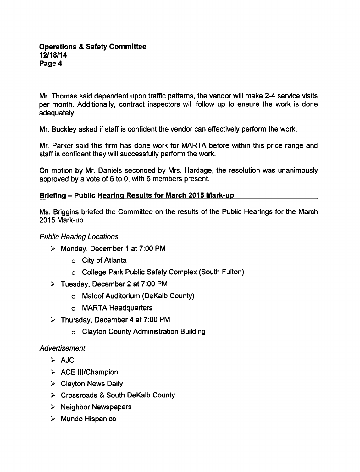Mr. Thomas said dependent upon traffic patterns, the vendor will make 2-4 service visits per month. Additionally, contract inspectors will follow up to ensure the work is done adequately.

Mr. Buckley asked if staff is confident the vendor can effectively perform the work.

Mr. Parker said this firm has done work for MARTA before within this price range and staff is confident they will successfully perform the work.

On motion by Mr. Daniels seconded by Mrs. Hardage, the resolution was unanimously approved by a vote of  $6$  to 0, with 6 members present.

### Briefing - Public Hearing Results for March 2015 Mark-up

Ms. Briggins briefed the Committee on the results of the Public Hearings for the March 2015 Mark-up.

### Public Hearing Locations

- $\triangleright$  Monday, December 1 at 7:00 PM
	- City of Atlanta
	- College Park Public Safety Complex (South Fulton)
- $\triangleright$  Tuesday, December 2 at 7:00 PM
	- Maloof Auditorium (DeKalb County)
	- MARTA Headquarters
- $\triangleright$  Thursday, December 4 at 7:00 PM
	- Clayton County Administration Building

### Advertisement

- $\triangleright$  AJC
- $\triangleright$  ACE III/Champion
- $\triangleright$  Clayton News Daily
- $\triangleright$  Crossroads & South DeKalb County
- $\triangleright$  Neighbor Newspapers
- $\triangleright$  Mundo Hispanico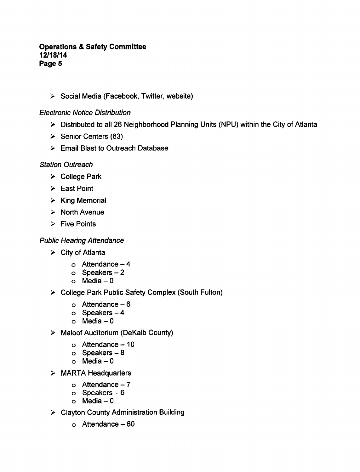$\triangleright$  Social Media (Facebook, Twitter, website)

# Electronic Notice Distribution

- Distributed to all 26 Neighborhood Planning Units (NPU) within the City of Atlanta
- $\geq$  Senior Centers (63)
- Email Blast to Outreach Database

### Station Outreach

- $\triangleright$  College Park
- $\triangleright$  East Point
- $\triangleright$  King Memorial
- $\triangleright$  North Avenue
- $\triangleright$  Five Points

# Public Hearing Attendance

- $\triangleright$  City of Atlanta
	- $\circ$  Attendance  $-4$
	- $o$  Speakers  $-2$
	- $o$  Media  $-0$
- $\triangleright$  College Park Public Safety Complex (South Fulton)
	- $\circ$  Attendance 6
	- $o$  Speakers  $-4$
	- $o$  Media  $-0$
- > Maloof Auditorium (DeKalb County)
	- $\circ$  Attendance 10
	- $o$  Speakers  $-8$
	- $o$  Media  $-0$
- > MARTA Headquarters
	- $o$  Attendance  $-7$
	- $o$  Speakers  $-6$
	- $o$  Media  $-0$
- Clayton County Administration Building
	- $\circ$  Attendance  $-60$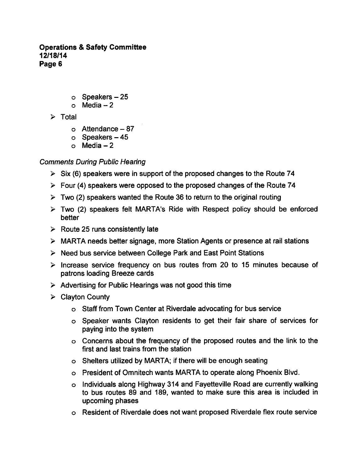- $\circ$  Speakers  $-25$
- $o$  Media  $-2$
- $\triangleright$  Total
	- $\circ$  Attendance 87
	- $\circ$  Speakers  $-45$
	- $o$  Media  $-2$

# Comments During Public Hearing

- $\triangleright$  Six (6) speakers were in support of the proposed changes to the Route 74
- $\triangleright$  Four (4) speakers were opposed to the proposed changes of the Route 74
- $\geq$  Two (2) speakers wanted the Route 36 to return to the original routing
- $\geq$  Two (2) speakers felt MARTA's Ride with Respect policy should be enforced better
- $\triangleright$  Route 25 runs consistently late
- MARTA needs better signage, more Station Agents or presence at rail stations
- $\triangleright$  Need bus service between College Park and East Point Stations
- $\ge$  Increase service frequency on bus routes from 20 to 15 minutes because of patrons loading Breeze cards
- $\triangleright$  Advertising for Public Hearings was not good this time
- $\triangleright$  Clayton County
	- Staff from Town Center at Riverdale advocating for bus service
	- Speaker wants Clayton residents to get their fair share of services for paying into the system
	- Concerns about the frequency of the proposed routes and the link to the first and last trains from the station
	- Shelters utilized by MARTA; if there will be enough seating
	- President of Omnitech wants MARTA to operate along Phoenix Blvd.
	- Individuals along Highway 314 and Fayetteville Road are currently walking to bus routes 89 and 189, wanted to make sure this area is included in upcoming phases
	- Resident of Riverdale does not want proposed Riverdale flex route service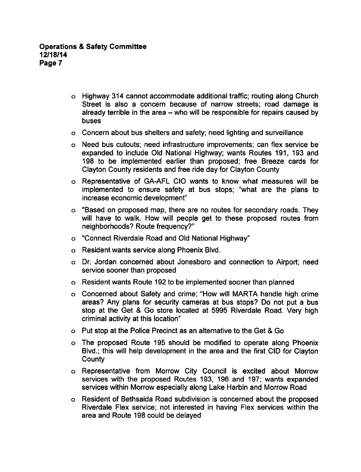- Highway 314 cannot accommodate additional traffic; routing along Church Street is also a concern because of narrow streets; road damage is already terrible in the area  $-$  who will be responsible for repairs caused by buses
- Concern about bus shelters and safety; need lighting and surveillance
- Need bus cutouts; need infrastructure improvements; can flex service be expanded to include Old National Highway; wants Routes 191, 193 and 198 to be implemented earlier than proposed; free Breeze cards for Clayton County residents and free ride day for Clayton County
- Representative of GA-AFL CIO wants to know what measures will be implemented to ensure safety at bus stops; "what are the plans to increase economic development"
- "Based on proposed map, there are no routes for secondary roads. They will have to walk. How will people get to these proposed routes from neighborhoods? Route frequency?"
- "Connect Riverdale Road and Old National Highway"
- Resident wants service along Phoenix Blvd.
- Dr. Jordan concerned about Jonesboro and connection to Airport; need service sooner than proposed
- Resident wants Route 192 to be implemented sooner than planned
- Concerned about Safety and crime; "How will MARTA handle high crime areas? Any plans for security cameras at bus stops? Do not put a bus stop at the Get & Go store located at 5995 Riverdale Road. Very high criminal activity at this location"
- Put stop at the Police Precinct as an alternative to the Get Go
- The proposed Route 195 should be modified to operate along Phoenix Blvd.; this will help development in the area and the first CID for Clayton **County**
- Representative from Morrow City Council is excited about Morrow services with the proposed Routes 193, 196 and 197; wants expanded services within Morrow especially along Lake Harbin and Morrow Road
- Resident of Bethsaida Road subdivision is concerned about the proposed Riverdale Flex service; not interested in having Flex services within the area and Route 198 could be delayed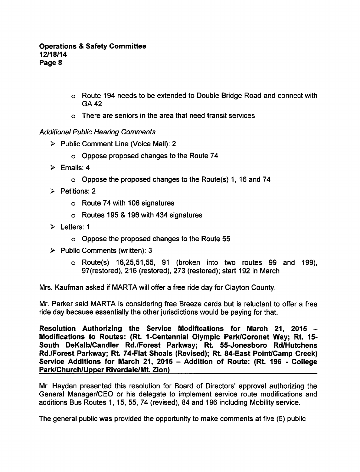- Route 194 needs to be extended to Double Bridge Road and connect with GA42
- There are seniors in the area that need transit services

### Additional Public Hearing Comments

- $\triangleright$  Public Comment Line (Voice Mail): 2
	- Oppose proposed changes to the Route 74
- $\triangleright$  Emails: 4
	- Oppose the proposed changes to the Route(s) 1,16 and 74
- $\triangleright$  Petitions: 2
	- Route 74 with 106 signatures
	- $\circ$  Routes 195 & 196 with 434 signatures
- $\geq$  Letters: 1
	- Oppose the proposed changes to the Route 55
- $\triangleright$  Public Comments (written): 3
	- Route(s) 16,25,51,55, 91 (broken into two routes 99 and 199), 97(restored), 216 (restored), 273 (restored); start 192 in March

Mrs. Kaufman asked if MARTA will offer a free ride day for Clayton County.

Mr. Parker said MARTA is considering free Breeze cards but is reluctant to offer a free ride day because essentially the other jurisdictions would be paying for that.

Resolution Authorizing the Service Modifications for March 21, 2015 Modifications to Routes: (Rt. 1-Centennial Olympic Park/Coronet Way; Rt. 15- South DeKalb/Candler Rd./Forest Parkway; Rt. 55-Jonesboro Rd/Hutchens Rd./Forest Parkway; Rt. 74-Flat Shoals (Revised); Rt. 84-East Point/Camp Creek) Service Additions for March 21, 2015 - Addition of Route: (Rt. 196 - College Park/Church/Upper Riverdale/Mt. Zion)

Mr. Hayden presented this resolution for Board of Directors' approval authorizing the General Manager/CEO or his delegate to implement service route modifications and additions Bus Routes 1,15, 55, 74 (revised), 84 and 196 including Mobility service.

The general public was provided the opportunity to make comments at five (5) public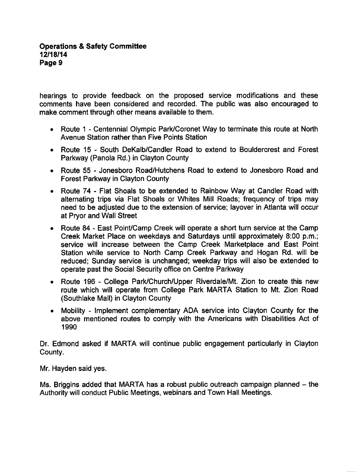hearings to provide feedback on the proposed service modifications and these comments have been considered and recorded. The public was also encouraged to make comment through other means available to them.

- Route 1 Centennial Olympic Park/Coronet Way to terminate this route at North Avenue Station rather than Five Points Station
- Route 15 South DeKalb/Candler Road to extend to Bouldercrest and Forest Parkway (Panola Rd.) in Clayton County
- Route 55 Jonesboro Road/Hutchens Road to extend to Jonesboro Road and Forest Parkway in Clayton County
- Route 74 Flat Shoals to be extended to Rainbow Way at Candler Road with alternating trips via Flat Shoals or Whites Mill Roads; frequency of trips may need to be adjusted due to the extension of service; layover in Atlanta will occur at Pryor and Wall Street
- Route 84 East Point/Camp Creek will operate a short turn service at the Camp  $\bullet$ Creek Market Place on weekdays and Saturdays until approximately 8:00 p.m.; service will increase between the Camp Creek Marketplace and East Point Station while service to North Camp Creek Parkway and Hogan Rd. will be reduced; Sunday service is unchanged; weekday trips will also be extended to operate past the Social Security office on Centre Parkway
- Route 196 College Park/Church/Upper Riverdale/Mt. Zion to create this new  $\bullet$ route which will operate from College Park MARTA Station to Mt. Zion Road (Southlake Mall) in Clayton County
- Mobility Implement complementary ADA service into Clayton County for the  $\bullet$ above mentioned routes to comply with the Americans with Disabilities Act of 1990

Dr. Edmond asked if MARTA will continue public engagement particularly in Clayton County.

Mr. Hayden said yes.

Ms. Briggins added that MARTA has a robust public outreach campaign planned  $-$  the Authority will conduct Public Meetings, webinars and Town Hall Meetings.